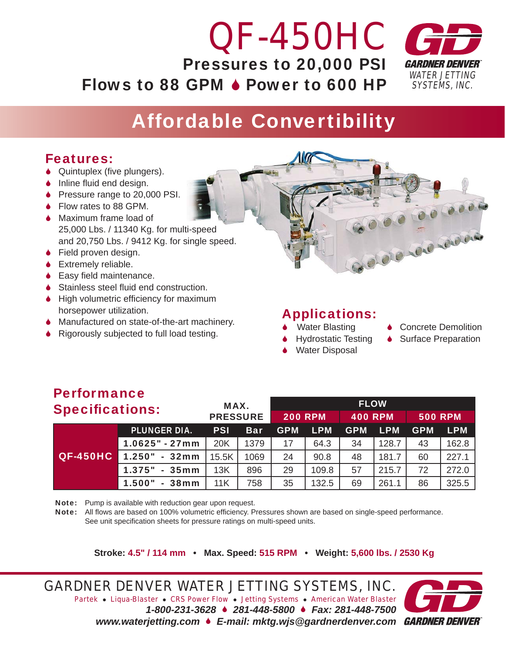## *QF-450HC* Pressures to 20,000 PSI Flows to 88 GPM  $\triangle$  Power to 600 HP



**Concrete Demolition** 

## Affordable Convertibility

#### Features:

- $\bullet$  Quintuplex (five plungers).
- $\bullet$  Inline fluid end design.
- ◆ Pressure range to 20,000 PSI.
- **▲ Flow rates to 88 GPM.**
- ◆ Maximum frame load of 25,000 Lbs. / 11340 Kg. for multi-speed and 20,750 Lbs. / 9412 Kg. for single speed.
- ◆ Field proven design.
- 6 Extremely reliable.
- $\bullet$  Easy field maintenance.
- $\bullet$  Stainless steel fluid end construction.
- $\blacklozenge$  High volumetric efficiency for maximum horsepower utilization.
- 6 Manufactured on state-of-the-art machinery.
- ♦ Rigorously subjected to full load testing.



## **Applications:**<br>• Water Blasting

- 
- Hydrostatic Testing ♦ Surface Preparation
- Water Disposal

# Performance

| <b>Specifications:</b> |                                      | MAX.<br><b>PRESSURE</b> |            | <b>FLOW</b>    |            |                |            |                |            |
|------------------------|--------------------------------------|-------------------------|------------|----------------|------------|----------------|------------|----------------|------------|
|                        |                                      |                         |            | <b>200 RPM</b> |            | <b>400 RPM</b> |            | <b>500 RPM</b> |            |
|                        | <b>PLUNGER DIA.</b>                  | <b>PSI</b>              | <b>Bar</b> | <b>GPM</b>     | <b>LPM</b> | <b>GPM</b>     | <b>LPM</b> | <b>GPM</b>     | <b>LPM</b> |
| <b>QF-450HC</b>        | $1.0625" - 27mm$                     | 20K                     | 1379       | 17             | 64.3       | 34             | 128.7      | 43             | 162.8      |
|                        | 1.250" - 32mm                        | 15.5K                   | 1069       | 24             | 90.8       | 48             | 181.7      | 60             | 227.1      |
|                        | 1.375"<br>35 <sub>mm</sub><br>$\sim$ | 13K                     | 896        | 29             | 109.8      | 57             | 215.7      | 72             | 272.0      |
|                        | 1.500"<br>38 <sub>mm</sub><br>$\sim$ | 11K                     | 758        | 35             | 132.5      | 69             | 261.1      | 86             | 325.5      |

Note: Pump is available with reduction gear upon request.

Note: All flows are based on 100% volumetric efficiency. Pressures shown are based on single-speed performance. See unit specification sheets for pressure ratings on multi-speed units.

**Stroke: 4.5" / 114 mm • Max. Speed: 515 RPM • Weight: 5,600 lbs. / 2530 Kg**

*GARDNER DENVER WATER JETTING SYSTEMS, INC. Partek* z *Liqua-Blaster* z *CRS Power Flow* z *Jetting Systems* z *American Water Blaster 1-800-231-3628* 6 *281-448-5800* 6 *Fax: 281-448-7500 www.waterjetting.com* 6 *E-mail: mktg.wjs@gardnerdenver.com*